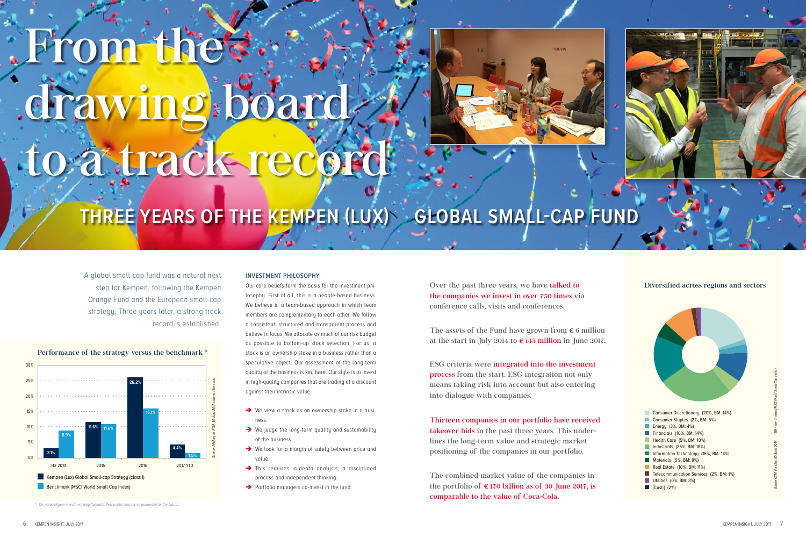| Consumer Discretionary (20%, BM: 14%)   |
|-----------------------------------------|
| Consumer Staples (2%, BM: 5%)           |
| Energy (3%, BM: 4%)                     |
| Financials (10%, BM: 14%)               |
| Health Care (5%, BM: 10%)               |
| Industrials (26%, BM: 18%)              |
| Information Technology (16%, BM: 14%)   |
| Materials (5%, BM: 8%)                  |
| Real Estate (10%, BM: 11%)              |
| Telecommunication Services (2%, BM: 1%) |
| Utilities (0%, BM: 3%)                  |
| [Cash] (2%)                             |



#### Diversified across regions and sectors



*\* The value of your investment may fluctuate. Past performance is no guarantee for the future.*

# From the drawing board to a track record



Over the past three years, we have talked to the companies we invest in over 750 times via conference calls, visits and conferences.

The assets of the Fund have grown from  $\epsilon$  6 million at the start in July 2014 to  $\epsilon$  145 million in June 2017.

ESG criteria were integrated into the investment process from the start. ESG integration not only means taking risk into account but also entering into dialogue with companies.

Thirteen companies in our portfolio have received takeover bids in the past three years. This underlines the long-term value and strategic market positioning of the companies in our portfolio.

The combined market value of the companies in the portfolio of  $\epsilon$  170 billion as of 30 June 2017, is comparable to the value of Coca-Cola.

## **THREE YEARS OF THE KEMPEN (LUX) GLOBAL SMALL-CAP FUND**

A global small-cap fund was a natural next step for Kempen, following the Kempen Orange Fund and the European small-cap strategy. Three years later, a strong track record is established.

#### **INVESTMENT PHILOSOPHY**

Our core beliefs form the basis for the investment philosophy. First of all, this is a people-based business. We believe in a team-based approach in which team members are complementary to each other. We follow a consistent, structured and transparent process and believe in focus. We allocate as much of our risk budget as possible to bottom-up stock selection. For us, a stock is an ownership stake in a business rather than a speculative object. Our assessment of the long-term quality of the business is key here. Our style is to invest in high-quality companies that are trading at a discount against their intrinsic value.

- $\rightarrow$  We view a stock as an ownership stake in a business.
- $\rightarrow$  We judge the long-term quality and sustainability of the business.
- → We look for a margin of safety between price and value.
- $\rightarrow$  This requires in-depth analysis, a disciplined process and independent thinking.
- $\rightarrow$  Portfolio managers co-invest in the fund.

*Source KCM, FactSet, 30 April 2017 BM = benchmark (MSCI World Small Cap Index)*